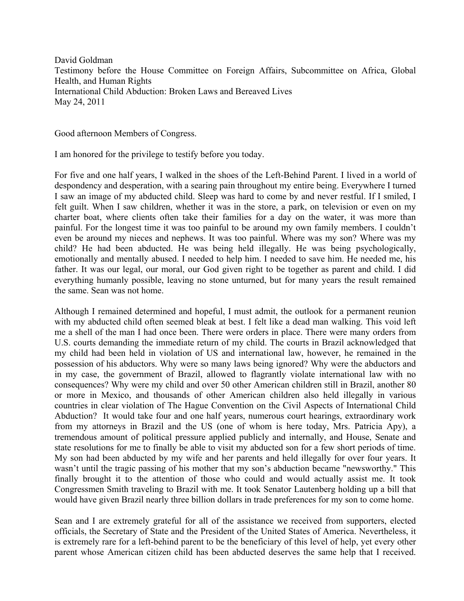David Goldman Testimony before the House Committee on Foreign Affairs, Subcommittee on Africa, Global Health, and Human Rights International Child Abduction: Broken Laws and Bereaved Lives May 24, 2011

Good afternoon Members of Congress.

I am honored for the privilege to testify before you today.

For five and one half years, I walked in the shoes of the Left-Behind Parent. I lived in a world of despondency and desperation, with a searing pain throughout my entire being. Everywhere I turned I saw an image of my abducted child. Sleep was hard to come by and never restful. If I smiled, I felt guilt. When I saw children, whether it was in the store, a park, on television or even on my charter boat, where clients often take their families for a day on the water, it was more than painful. For the longest time it was too painful to be around my own family members. I couldn't even be around my nieces and nephews. It was too painful. Where was my son? Where was my child? He had been abducted. He was being held illegally. He was being psychologically, emotionally and mentally abused. I needed to help him. I needed to save him. He needed me, his father. It was our legal, our moral, our God given right to be together as parent and child. I did everything humanly possible, leaving no stone unturned, but for many years the result remained the same. Sean was not home.

Although I remained determined and hopeful, I must admit, the outlook for a permanent reunion with my abducted child often seemed bleak at best. I felt like a dead man walking. This void left me a shell of the man I had once been. There were orders in place. There were many orders from U.S. courts demanding the immediate return of my child. The courts in Brazil acknowledged that my child had been held in violation of US and international law, however, he remained in the possession of his abductors. Why were so many laws being ignored? Why were the abductors and in my case, the government of Brazil, allowed to flagrantly violate international law with no consequences? Why were my child and over 50 other American children still in Brazil, another 80 or more in Mexico, and thousands of other American children also held illegally in various countries in clear violation of The Hague Convention on the Civil Aspects of International Child Abduction? It would take four and one half years, numerous court hearings, extraordinary work from my attorneys in Brazil and the US (one of whom is here today, Mrs. Patricia Apy), a tremendous amount of political pressure applied publicly and internally, and House, Senate and state resolutions for me to finally be able to visit my abducted son for a few short periods of time. My son had been abducted by my wife and her parents and held illegally for over four years. It wasn't until the tragic passing of his mother that my son's abduction became "newsworthy." This finally brought it to the attention of those who could and would actually assist me. It took Congressmen Smith traveling to Brazil with me. It took Senator Lautenberg holding up a bill that would have given Brazil nearly three billion dollars in trade preferences for my son to come home.

Sean and I are extremely grateful for all of the assistance we received from supporters, elected officials, the Secretary of State and the President of the United States of America. Nevertheless, it is extremely rare for a left-behind parent to be the beneficiary of this level of help, yet every other parent whose American citizen child has been abducted deserves the same help that I received.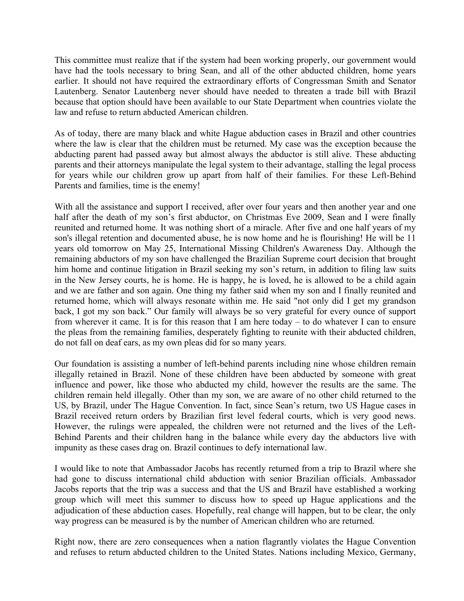This committee must realize that if the system had been working properly, our government would have had the tools necessary to bring Sean, and all of the other abducted children, home years earlier. It should not have required the extraordinary efforts of Congressman Smith and Senator Lautenberg. Senator Lautenberg never should have needed to threaten a trade bill with Brazil because that option should have been available to our State Department when countries violate the law and refuse to return abducted American children.

As of today, there are many black and white Hague abduction cases in Brazil and other countries where the law is clear that the children must be returned. My case was the exception because the abducting parent had passed away but almost always the abductor is still alive. These abducting parents and their attorneys manipulate the legal system to their advantage, stalling the legal process for years while our children grow up apart from half of their families. For these Left-Behind Parents and families, time is the enemy!

With all the assistance and support I received, after over four years and then another year and one half after the death of my son's first abductor, on Christmas Eve 2009, Sean and I were finally reunited and returned home. It was nothing short of a miracle. After five and one half years of my son's illegal retention and documented abuse, he is now home and he is flourishing! He will be 11 years old tomorrow on May 25, International Missing Children's Awareness Day. Although the remaining abductors of my son have challenged the Brazilian Supreme court decision that brought him home and continue litigation in Brazil seeking my son's return, in addition to filing law suits in the New Jersey courts, he is home. He is happy, he is loved, he is allowed to be a child again and we are father and son again. One thing my father said when my son and I finally reunited and returned home, which will always resonate within me. He said "not only did I get my grandson back, I got my son back." Our family will always be so very grateful for every ounce of support from wherever it came. It is for this reason that I am here today – to do whatever I can to ensure the pleas from the remaining families, desperately fighting to reunite with their abducted children, do not fall on deaf ears, as my own pleas did for so many years.

Our foundation is assisting a number of left-behind parents including nine whose children remain illegally retained in Brazil. None of these children have been abducted by someone with great influence and power, like those who abducted my child, however the results are the same. The children remain held illegally. Other than my son, we are aware of no other child returned to the US, by Brazil, under The Hague Convention. In fact, since Sean's return, two US Hague cases in Brazil received return orders by Brazilian first level federal courts, which is very good news. However, the rulings were appealed, the children were not returned and the lives of the Left-Behind Parents and their children hang in the balance while every day the abductors live with impunity as these cases drag on. Brazil continues to defy international law.

I would like to note that Ambassador Jacobs has recently returned from a trip to Brazil where she had gone to discuss international child abduction with senior Brazilian officials. Ambassador Jacobs reports that the trip was a success and that the US and Brazil have established a working group which will meet this summer to discuss how to speed up Hague applications and the adjudication of these abduction cases. Hopefully, real change will happen, but to be clear, the only way progress can be measured is by the number of American children who are returned.

Right now, there are zero consequences when a nation flagrantly violates the Hague Convention and refuses to return abducted children to the United States. Nations including Mexico, Germany,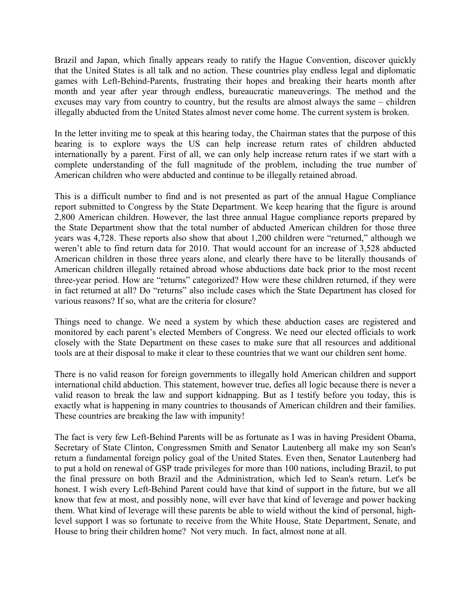Brazil and Japan, which finally appears ready to ratify the Hague Convention, discover quickly that the United States is all talk and no action. These countries play endless legal and diplomatic games with Left-Behind-Parents, frustrating their hopes and breaking their hearts month after month and year after year through endless, bureaucratic maneuverings. The method and the excuses may vary from country to country, but the results are almost always the same – children illegally abducted from the United States almost never come home. The current system is broken.

In the letter inviting me to speak at this hearing today, the Chairman states that the purpose of this hearing is to explore ways the US can help increase return rates of children abducted internationally by a parent. First of all, we can only help increase return rates if we start with a complete understanding of the full magnitude of the problem, including the true number of American children who were abducted and continue to be illegally retained abroad.

This is a difficult number to find and is not presented as part of the annual Hague Compliance report submitted to Congress by the State Department. We keep hearing that the figure is around 2,800 American children. However, the last three annual Hague compliance reports prepared by the State Department show that the total number of abducted American children for those three years was 4,728. These reports also show that about 1,200 children were "returned," although we weren't able to find return data for 2010. That would account for an increase of 3,528 abducted American children in those three years alone, and clearly there have to be literally thousands of American children illegally retained abroad whose abductions date back prior to the most recent three-year period. How are "returns" categorized? How were these children returned, if they were in fact returned at all? Do "returns" also include cases which the State Department has closed for various reasons? If so, what are the criteria for closure?

Things need to change. We need a system by which these abduction cases are registered and monitored by each parent's elected Members of Congress. We need our elected officials to work closely with the State Department on these cases to make sure that all resources and additional tools are at their disposal to make it clear to these countries that we want our children sent home.

There is no valid reason for foreign governments to illegally hold American children and support international child abduction. This statement, however true, defies all logic because there is never a valid reason to break the law and support kidnapping. But as I testify before you today, this is exactly what is happening in many countries to thousands of American children and their families. These countries are breaking the law with impunity!

The fact is very few Left-Behind Parents will be as fortunate as I was in having President Obama, Secretary of State Clinton, Congressmen Smith and Senator Lautenberg all make my son Sean's return a fundamental foreign policy goal of the United States. Even then, Senator Lautenberg had to put a hold on renewal of GSP trade privileges for more than 100 nations, including Brazil, to put the final pressure on both Brazil and the Administration, which led to Sean's return. Let's be honest. I wish every Left-Behind Parent could have that kind of support in the future, but we all know that few at most, and possibly none, will ever have that kind of leverage and power backing them. What kind of leverage will these parents be able to wield without the kind of personal, highlevel support I was so fortunate to receive from the White House, State Department, Senate, and House to bring their children home? Not very much. In fact, almost none at all.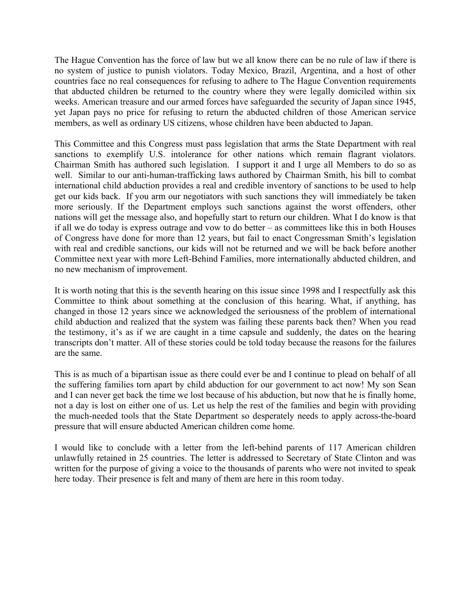The Hague Convention has the force of law but we all know there can be no rule of law if there is no system of justice to punish violators. Today Mexico, Brazil, Argentina, and a host of other countries face no real consequences for refusing to adhere to The Hague Convention requirements that abducted children be returned to the country where they were legally domiciled within six weeks. American treasure and our armed forces have safeguarded the security of Japan since 1945, yet Japan pays no price for refusing to return the abducted children of those American service members, as well as ordinary US citizens, whose children have been abducted to Japan.

This Committee and this Congress must pass legislation that arms the State Department with real sanctions to exemplify U.S. intolerance for other nations which remain flagrant violators. Chairman Smith has authored such legislation. I support it and I urge all Members to do so as well. Similar to our anti-human-trafficking laws authored by Chairman Smith, his bill to combat international child abduction provides a real and credible inventory of sanctions to be used to help get our kids back. If you arm our negotiators with such sanctions they will immediately be taken more seriously. If the Department employs such sanctions against the worst offenders, other nations will get the message also, and hopefully start to return our children. What I do know is that if all we do today is express outrage and vow to do better – as committees like this in both Houses of Congress have done for more than 12 years, but fail to enact Congressman Smith's legislation with real and credible sanctions, our kids will not be returned and we will be back before another Committee next year with more Left-Behind Families, more internationally abducted children, and no new mechanism of improvement.

It is worth noting that this is the seventh hearing on this issue since 1998 and I respectfully ask this Committee to think about something at the conclusion of this hearing. What, if anything, has changed in those 12 years since we acknowledged the seriousness of the problem of international child abduction and realized that the system was failing these parents back then? When you read the testimony, it's as if we are caught in a time capsule and suddenly, the dates on the hearing transcripts don't matter. All of these stories could be told today because the reasons for the failures are the same.

This is as much of a bipartisan issue as there could ever be and I continue to plead on behalf of all the suffering families torn apart by child abduction for our government to act now! My son Sean and I can never get back the time we lost because of his abduction, but now that he is finally home, not a day is lost on either one of us. Let us help the rest of the families and begin with providing the much-needed tools that the State Department so desperately needs to apply across-the-board pressure that will ensure abducted American children come home.

I would like to conclude with a letter from the left-behind parents of 117 American children unlawfully retained in 25 countries. The letter is addressed to Secretary of State Clinton and was written for the purpose of giving a voice to the thousands of parents who were not invited to speak here today. Their presence is felt and many of them are here in this room today.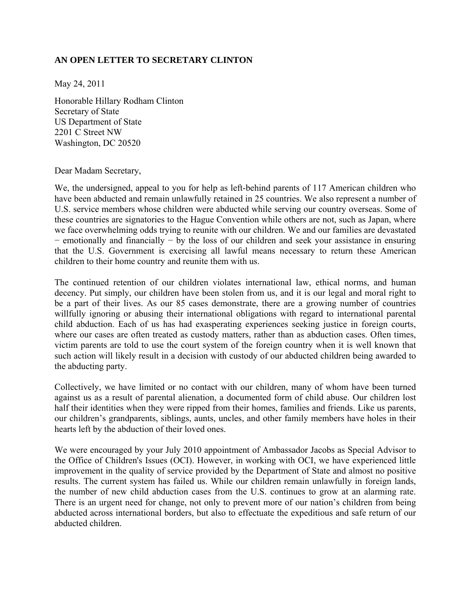## **AN OPEN LETTER TO SECRETARY CLINTON**

May 24, 2011

Honorable Hillary Rodham Clinton Secretary of State US Department of State 2201 C Street NW Washington, DC 20520

Dear Madam Secretary,

We, the undersigned, appeal to you for help as left-behind parents of 117 American children who have been abducted and remain unlawfully retained in 25 countries. We also represent a number of U.S. service members whose children were abducted while serving our country overseas. Some of these countries are signatories to the Hague Convention while others are not, such as Japan, where we face overwhelming odds trying to reunite with our children. We and our families are devastated − emotionally and financially − by the loss of our children and seek your assistance in ensuring that the U.S. Government is exercising all lawful means necessary to return these American children to their home country and reunite them with us.

The continued retention of our children violates international law, ethical norms, and human decency. Put simply, our children have been stolen from us, and it is our legal and moral right to be a part of their lives. As our 85 cases demonstrate, there are a growing number of countries willfully ignoring or abusing their international obligations with regard to international parental child abduction. Each of us has had exasperating experiences seeking justice in foreign courts, where our cases are often treated as custody matters, rather than as abduction cases. Often times, victim parents are told to use the court system of the foreign country when it is well known that such action will likely result in a decision with custody of our abducted children being awarded to the abducting party.

Collectively, we have limited or no contact with our children, many of whom have been turned against us as a result of parental alienation, a documented form of child abuse. Our children lost half their identities when they were ripped from their homes, families and friends. Like us parents, our children's grandparents, siblings, aunts, uncles, and other family members have holes in their hearts left by the abduction of their loved ones.

We were encouraged by your July 2010 appointment of Ambassador Jacobs as Special Advisor to the Office of Children's Issues (OCI). However, in working with OCI, we have experienced little improvement in the quality of service provided by the Department of State and almost no positive results. The current system has failed us. While our children remain unlawfully in foreign lands, the number of new child abduction cases from the U.S. continues to grow at an alarming rate. There is an urgent need for change, not only to prevent more of our nation's children from being abducted across international borders, but also to effectuate the expeditious and safe return of our abducted children.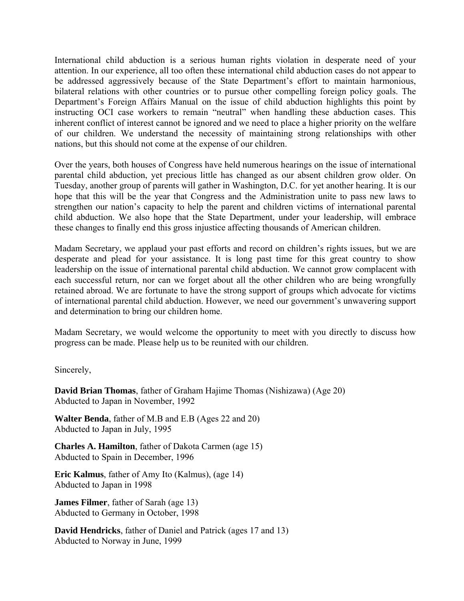International child abduction is a serious human rights violation in desperate need of your attention. In our experience, all too often these international child abduction cases do not appear to be addressed aggressively because of the State Department's effort to maintain harmonious, bilateral relations with other countries or to pursue other compelling foreign policy goals. The Department's Foreign Affairs Manual on the issue of child abduction highlights this point by instructing OCI case workers to remain "neutral" when handling these abduction cases. This inherent conflict of interest cannot be ignored and we need to place a higher priority on the welfare of our children. We understand the necessity of maintaining strong relationships with other nations, but this should not come at the expense of our children.

Over the years, both houses of Congress have held numerous hearings on the issue of international parental child abduction, yet precious little has changed as our absent children grow older. On Tuesday, another group of parents will gather in Washington, D.C. for yet another hearing. It is our hope that this will be the year that Congress and the Administration unite to pass new laws to strengthen our nation's capacity to help the parent and children victims of international parental child abduction. We also hope that the State Department, under your leadership, will embrace these changes to finally end this gross injustice affecting thousands of American children.

Madam Secretary, we applaud your past efforts and record on children's rights issues, but we are desperate and plead for your assistance. It is long past time for this great country to show leadership on the issue of international parental child abduction. We cannot grow complacent with each successful return, nor can we forget about all the other children who are being wrongfully retained abroad. We are fortunate to have the strong support of groups which advocate for victims of international parental child abduction. However, we need our government's unwavering support and determination to bring our children home.

Madam Secretary, we would welcome the opportunity to meet with you directly to discuss how progress can be made. Please help us to be reunited with our children.

Sincerely,

**David Brian Thomas**, father of Graham Hajime Thomas (Nishizawa) (Age 20) Abducted to Japan in November, 1992

**Walter Benda**, father of M.B and E.B (Ages 22 and 20) Abducted to Japan in July, 1995

**Charles A. Hamilton**, father of Dakota Carmen (age 15) Abducted to Spain in December, 1996

**Eric Kalmus**, father of Amy Ito (Kalmus), (age 14) Abducted to Japan in 1998

**James Filmer**, father of Sarah (age 13) Abducted to Germany in October, 1998

**David Hendricks**, father of Daniel and Patrick (ages 17 and 13) Abducted to Norway in June, 1999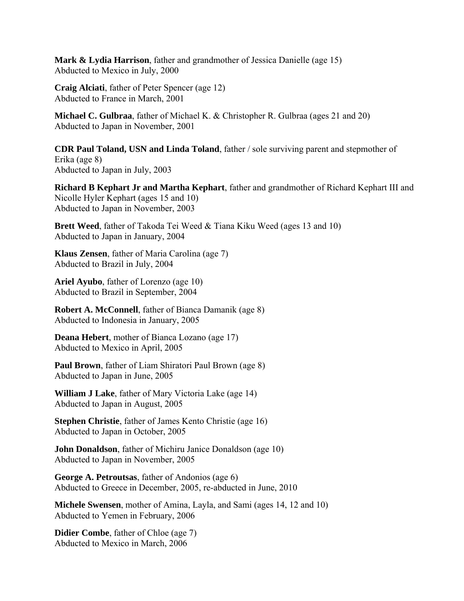**Mark & Lydia Harrison**, father and grandmother of Jessica Danielle (age 15) Abducted to Mexico in July, 2000

**Craig Alciati**, father of Peter Spencer (age 12) Abducted to France in March, 2001

**Michael C. Gulbraa**, father of Michael K. & Christopher R. Gulbraa (ages 21 and 20) Abducted to Japan in November, 2001

**CDR Paul Toland, USN and Linda Toland**, father / sole surviving parent and stepmother of Erika (age 8) Abducted to Japan in July, 2003

**Richard B Kephart Jr and Martha Kephart**, father and grandmother of Richard Kephart III and Nicolle Hyler Kephart (ages 15 and 10) Abducted to Japan in November, 2003

**Brett Weed**, father of Takoda Tei Weed & Tiana Kiku Weed (ages 13 and 10) Abducted to Japan in January, 2004

**Klaus Zensen**, father of Maria Carolina (age 7) Abducted to Brazil in July, 2004

**Ariel Ayubo**, father of Lorenzo (age 10) Abducted to Brazil in September, 2004

**Robert A. McConnell**, father of Bianca Damanik (age 8) Abducted to Indonesia in January, 2005

**Deana Hebert**, mother of Bianca Lozano (age 17) Abducted to Mexico in April, 2005

**Paul Brown**, father of Liam Shiratori Paul Brown (age 8) Abducted to Japan in June, 2005

**William J Lake**, father of Mary Victoria Lake (age 14) Abducted to Japan in August, 2005

**Stephen Christie**, father of James Kento Christie (age 16) Abducted to Japan in October, 2005

**John Donaldson**, father of Michiru Janice Donaldson (age 10) Abducted to Japan in November, 2005

**George A. Petroutsas**, father of Andonios (age 6) Abducted to Greece in December, 2005, re-abducted in June, 2010

**Michele Swensen**, mother of Amina, Layla, and Sami (ages 14, 12 and 10) Abducted to Yemen in February, 2006

**Didier Combe**, father of Chloe (age 7) Abducted to Mexico in March, 2006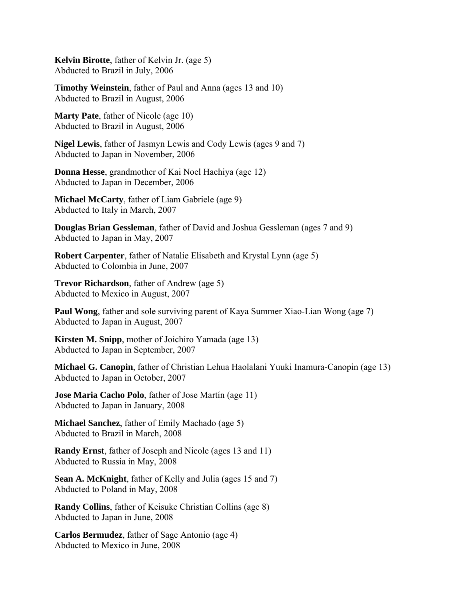**Kelvin Birotte**, father of Kelvin Jr. (age 5) Abducted to Brazil in July, 2006

**Timothy Weinstein**, father of Paul and Anna (ages 13 and 10) Abducted to Brazil in August, 2006

**Marty Pate**, father of Nicole (age 10) Abducted to Brazil in August, 2006

**Nigel Lewis**, father of Jasmyn Lewis and Cody Lewis (ages 9 and 7) Abducted to Japan in November, 2006

**Donna Hesse**, grandmother of Kai Noel Hachiya (age 12) Abducted to Japan in December, 2006

**Michael McCarty**, father of Liam Gabriele (age 9) Abducted to Italy in March, 2007

**Douglas Brian Gessleman**, father of David and Joshua Gessleman (ages 7 and 9) Abducted to Japan in May, 2007

**Robert Carpenter**, father of Natalie Elisabeth and Krystal Lynn (age 5) Abducted to Colombia in June, 2007

**Trevor Richardson**, father of Andrew (age 5) Abducted to Mexico in August, 2007

**Paul Wong**, father and sole surviving parent of Kaya Summer Xiao-Lian Wong (age 7) Abducted to Japan in August, 2007

**Kirsten M. Snipp**, mother of Joichiro Yamada (age 13) Abducted to Japan in September, 2007

**Michael G. Canopin**, father of Christian Lehua Haolalani Yuuki Inamura-Canopin (age 13) Abducted to Japan in October, 2007

**Jose Maria Cacho Polo**, father of Jose Martín (age 11) Abducted to Japan in January, 2008

**Michael Sanchez**, father of Emily Machado (age 5) Abducted to Brazil in March, 2008

**Randy Ernst**, father of Joseph and Nicole (ages 13 and 11) Abducted to Russia in May, 2008

**Sean A. McKnight**, father of Kelly and Julia (ages 15 and 7) Abducted to Poland in May, 2008

**Randy Collins**, father of Keisuke Christian Collins (age 8) Abducted to Japan in June, 2008

**Carlos Bermudez**, father of Sage Antonio (age 4) Abducted to Mexico in June, 2008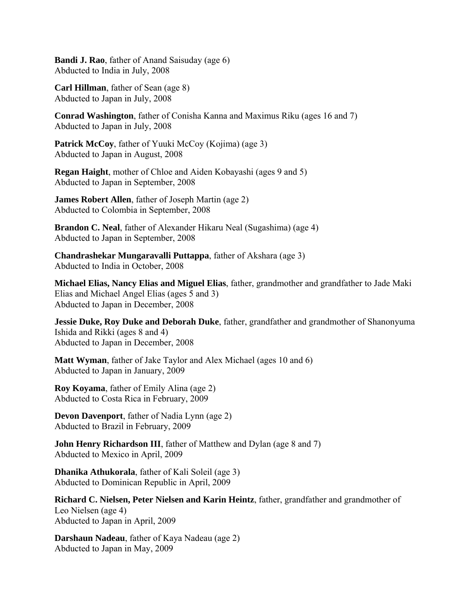**Bandi J. Rao**, father of Anand Saisuday (age 6) Abducted to India in July, 2008

**Carl Hillman**, father of Sean (age 8) Abducted to Japan in July, 2008

**Conrad Washington**, father of Conisha Kanna and Maximus Riku (ages 16 and 7) Abducted to Japan in July, 2008

**Patrick McCoy, father of Yuuki McCoy (Kojima) (age 3)** Abducted to Japan in August, 2008

**Regan Haight**, mother of Chloe and Aiden Kobayashi (ages 9 and 5) Abducted to Japan in September, 2008

**James Robert Allen**, father of Joseph Martin (age 2) Abducted to Colombia in September, 2008

**Brandon C. Neal**, father of Alexander Hikaru Neal (Sugashima) (age 4) Abducted to Japan in September, 2008

**Chandrashekar Mungaravalli Puttappa**, father of Akshara (age 3) Abducted to India in October, 2008

**Michael Elias, Nancy Elias and Miguel Elias**, father, grandmother and grandfather to Jade Maki Elias and Michael Angel Elias (ages 5 and 3) Abducted to Japan in December, 2008

**Jessie Duke, Roy Duke and Deborah Duke**, father, grandfather and grandmother of Shanonyuma Ishida and Rikki (ages 8 and 4) Abducted to Japan in December, 2008

**Matt Wyman**, father of Jake Taylor and Alex Michael (ages 10 and 6) Abducted to Japan in January, 2009

**Roy Koyama**, father of Emily Alina (age 2) Abducted to Costa Rica in February, 2009

**Devon Davenport**, father of Nadia Lynn (age 2) Abducted to Brazil in February, 2009

**John Henry Richardson III**, father of Matthew and Dylan (age 8 and 7) Abducted to Mexico in April, 2009

**Dhanika Athukorala**, father of Kali Soleil (age 3) Abducted to Dominican Republic in April, 2009

**Richard C. Nielsen, Peter Nielsen and Karin Heintz**, father, grandfather and grandmother of Leo Nielsen (age 4) Abducted to Japan in April, 2009

**Darshaun Nadeau**, father of Kaya Nadeau (age 2) Abducted to Japan in May, 2009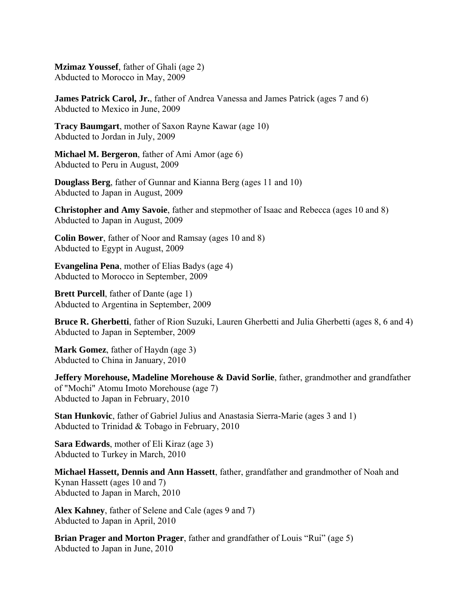**Mzimaz Youssef**, father of Ghali (age 2) Abducted to Morocco in May, 2009

**James Patrick Carol, Jr.**, father of Andrea Vanessa and James Patrick (ages 7 and 6) Abducted to Mexico in June, 2009

**Tracy Baumgart**, mother of Saxon Rayne Kawar (age 10) Abducted to Jordan in July, 2009

**Michael M. Bergeron**, father of Ami Amor (age 6) Abducted to Peru in August, 2009

**Douglass Berg**, father of Gunnar and Kianna Berg (ages 11 and 10) Abducted to Japan in August, 2009

**Christopher and Amy Savoie**, father and stepmother of Isaac and Rebecca (ages 10 and 8) Abducted to Japan in August, 2009

**Colin Bower**, father of Noor and Ramsay (ages 10 and 8) Abducted to Egypt in August, 2009

**Evangelina Pena**, mother of Elias Badys (age 4) Abducted to Morocco in September, 2009

**Brett Purcell**, father of Dante (age 1) Abducted to Argentina in September, 2009

**Bruce R. Gherbetti**, father of Rion Suzuki, Lauren Gherbetti and Julia Gherbetti (ages 8, 6 and 4) Abducted to Japan in September, 2009

**Mark Gomez**, father of Haydn (age 3) Abducted to China in January, 2010

**Jeffery Morehouse, Madeline Morehouse & David Sorlie**, father, grandmother and grandfather of "Mochi" Atomu Imoto Morehouse (age 7) Abducted to Japan in February, 2010

**Stan Hunkovic**, father of Gabriel Julius and Anastasia Sierra-Marie (ages 3 and 1) Abducted to Trinidad & Tobago in February, 2010

**Sara Edwards**, mother of Eli Kiraz (age 3) Abducted to Turkey in March, 2010

**Michael Hassett, Dennis and Ann Hassett**, father, grandfather and grandmother of Noah and Kynan Hassett (ages 10 and 7) Abducted to Japan in March, 2010

**Alex Kahney**, father of Selene and Cale (ages 9 and 7) Abducted to Japan in April, 2010

**Brian Prager and Morton Prager**, father and grandfather of Louis "Rui" (age 5) Abducted to Japan in June, 2010